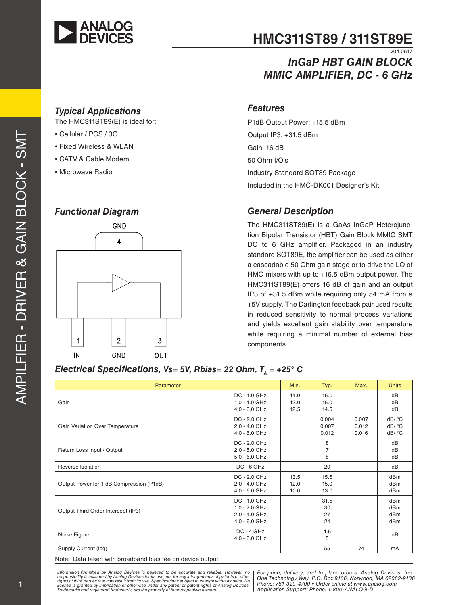

## **HMC311ST89 / 311ST89E**  $v04.0517$

# *InGaP HBT GAIN BLOCK MMIC AMPLIFIER, DC - 6 GHz*

#### *Typical Applications*

The HMC311ST89(E) is ideal for:

- Cellular / PCS / 3G
- Fixed Wireless & WLAN
- CATV & Cable Modem
- Microwave Radio

#### *Functional Diagram*



#### *Features*

P1dB Output Power: +15.5 dBm Output IP3: +31.5 dBm Gain: 16 dB 50 Ohm I/O's Industry Standard SOT89 Package Included in the HMC-DK001 Designer's Kit

#### *General Description*

The HMC311ST89(E) is a GaAs InGaP Heterojunction Bipolar Transistor (HBT) Gain Block MMIC SMT DC to 6 GHz amplifier. Packaged in an industry standard SOT89E, the amplifier can be used as either a cascadable 50 Ohm gain stage or to drive the LO of HMC mixers with up to +16.5 dBm output power. The HMC311ST89(E) offers 16 dB of gain and an output IP3 of +31.5 dBm while requiring only 54 mA from a +5V supply. The Darlington feedback pair used results in reduced sensitivity to normal process variations and yields excellent gain stability over temperature while requiring a minimal number of external bias components.

#### *Electrical Specifications, Vs= 5V, Rbias= 22 Ohm, T<sub>n</sub> = +25° C*

| Parameter                                |                                                                     | Min.                 | Typ.                    | Max.                    | <b>Units</b>                                                 |
|------------------------------------------|---------------------------------------------------------------------|----------------------|-------------------------|-------------------------|--------------------------------------------------------------|
| Gain                                     | DC - 1.0 GHz<br>$1.0 - 4.0$ GHz<br>$4.0 - 6.0$ GHz                  | 14.0<br>13.0<br>12.5 | 16.0<br>15.0<br>14.5    |                         | dB<br>dB<br>dB                                               |
| Gain Variation Over Temperature          | DC - 2.0 GHz<br>2.0 - 4.0 GHz<br>4.0 - 6.0 GHz                      |                      | 0.004<br>0.007<br>0.012 | 0.007<br>0.012<br>0.016 | dB/ °C<br>dB/ °C<br>dB/ °C                                   |
| Return Loss Input / Output               | DC - 2.0 GHz<br>$2.0 - 5.0$ GHz<br>$5.0 - 6.0$ GHz                  |                      | 8<br>7<br>8             |                         | dB<br>dB<br>dB                                               |
| Reverse Isolation                        | $DC - 6 GHz$                                                        |                      | 20                      |                         | dB                                                           |
| Output Power for 1 dB Compression (P1dB) | DC - 2.0 GHz<br>$2.0 - 4.0$ GHz<br>4.0 - 6.0 GHz                    | 13.5<br>12.0<br>10.0 | 15.5<br>15.0<br>13.0    |                         | dB <sub>m</sub><br>dBm<br>dB <sub>m</sub>                    |
| Output Third Order Intercept (IP3)       | DC - 1.0 GHz<br>$1.0 - 2.0$ GHz<br>$2.0 - 4.0$ GHz<br>4.0 - 6.0 GHz |                      | 31.5<br>30<br>27<br>24  |                         | dB <sub>m</sub><br>dBm<br>dB <sub>m</sub><br>dB <sub>m</sub> |
| Noise Figure                             | $DC - 4 GHz$<br>4.0 - 6.0 GHz                                       |                      | 4.5<br>5                |                         | dB                                                           |
| Supply Current (Icq)                     |                                                                     |                      | 55                      | 74                      | mA                                                           |

Note: Data taken with broadband bias tee on device output.

*Information furnished by Analog Devices is believed to be accurate and reliable. However, no* | For price, delivery, and to place orders: Analog Devices, Inc., *Inc., Analog Devices, Inc., Inc., Analog Devices, Inc., Anal Phone: 781-329-4700 • Order online at www.analog.com* license is granted by implication or otherwise under any patent or patent rights of Analog Devices. [[FIDITE: 761-329-4<br>Trademarks and registered trademarks are the property of their respective owners. Information furnished by Analog Devices is believed to be accurate and reliable. However, no<br>responsibility is assumed by Analog Devices for its use, nor for any infringements of patents or other<br>rights of third parties th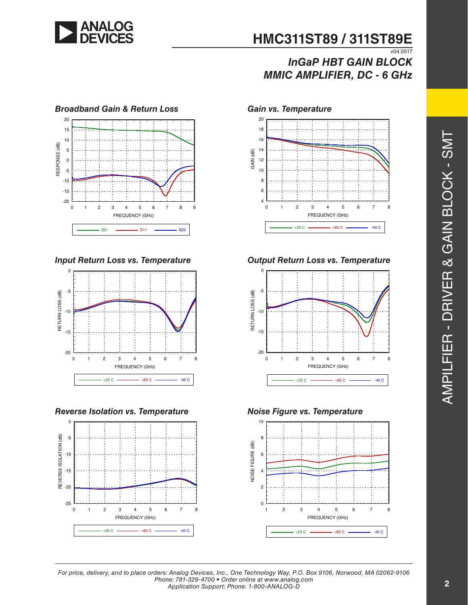

## **HMC311ST89 / 311ST89E**  $V04.0517$

# *InGaP HBT GAIN BLOCK MMIC AMPLIFIER, DC - 6 GHz*



*Input Return Loss vs. Temperature*



*Reverse Isolation vs. Temperature*





*Output Return Loss vs. Temperature*





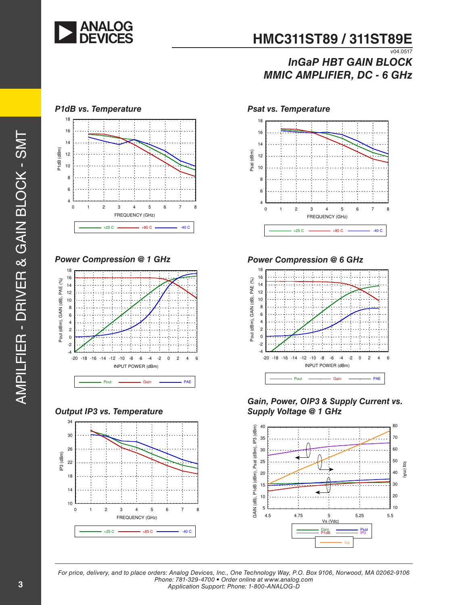

#### **HMC311ST89 / 311ST89E**  $\overline{v04.0517}$

## *InGaP HBT GAIN BLOCK MMIC AMPLIFIER, DC - 6 GHz*



*Power Compression @ 1 GHz*



*Output IP3 vs. Temperature*







*Power Compression @ 6 GHz*



*Gain, Power, OIP3 & Supply Current vs. Supply Voltage @ 1 GHz*

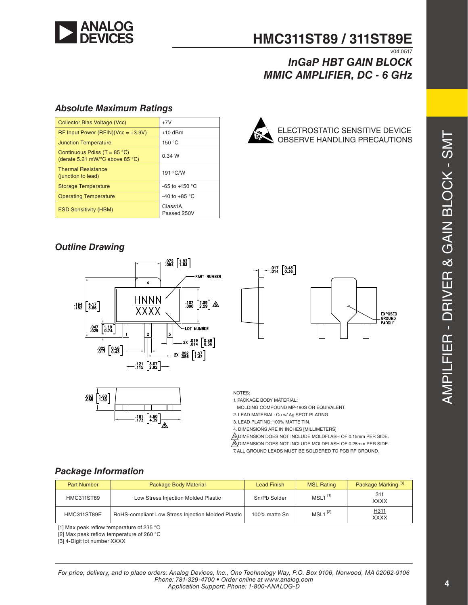

#### **HMC311ST89 / 311ST89E**  $V04.0517$

## *InGaP HBT GAIN BLOCK MMIC AMPLIFIER, DC - 6 GHz*

#### *Absolute Maximum Ratings*

| <b>Collector Bias Voltage (Vcc)</b>                                                         | $+7V$                   |
|---------------------------------------------------------------------------------------------|-------------------------|
| $RF$ Input Power (RFIN)(Vcc = +3.9V)                                                        | $+10$ dBm               |
| <b>Junction Temperature</b>                                                                 | 150 $\degree$ C         |
| Continuous Pdiss (T = $85^{\circ}$ C)<br>(derate 5.21 mW/ $\degree$ C above 85 $\degree$ C) | 0.34 W                  |
| <b>Thermal Resistance</b><br>(junction to lead)                                             | 191 °C/W                |
| <b>Storage Temperature</b>                                                                  | $-65$ to $+150$ °C      |
| <b>Operating Temperature</b>                                                                | -40 to +85 $\degree$ C  |
| <b>ESD Sensitivity (HBM)</b>                                                                | Class1A,<br>Passed 250V |



ELECTROSTATIC SENSITIVE DEVICE OBSERVE HANDLING PRECAUTIONS

## *Outline Drawing*





 $.017$   $0.43$   $0.36$ **EXPOSED** GROUND<br>PADDLE

NOTES:

1. PACKAGE BODY MATERIAL:

MOLDING COMPOUND MP-180S OR EQUIVALENT.

2. LEAD MATERIAL: Cu w/ Ag SPOT PLATING.

3. LEAD PLATING: 100% MATTE TIN.

4. DIMENSIONS ARE IN INCHES [MILLIMETERS]

**SOUMENSION DOES NOT INCLUDE MOLDFLASH OF 0.15mm PER SIDE.** 6. DIMENSION DOES NOT INCLUDE MOLDFLASH OF 0.25mm PER SIDE. 7. ALL GROUND LEADS MUST BE SOLDERED TO PCB RF GROUND.

## *Package Information*

| <b>Part Number</b> | Package Body Material                              | <b>Lead Finish</b> | <b>MSL Rating</b>     | Package Marking <sup>[3]</sup> |
|--------------------|----------------------------------------------------|--------------------|-----------------------|--------------------------------|
| <b>HMC311ST89</b>  | Low Stress Injection Molded Plastic                | Sn/Pb Solder       | $MSL1$ <sup>[1]</sup> | 311<br><b>XXXX</b>             |
| HMC311ST89E        | RoHS-compliant Low Stress Injection Molded Plastic | 100% matte Sn      | $MSL1$ <sup>[2]</sup> | H311<br><b>XXXX</b>            |

[1] Max peak reflow temperature of 235 °C

[2] Max peak reflow temperature of 260 °C

[3] 4-Digit lot number XXXX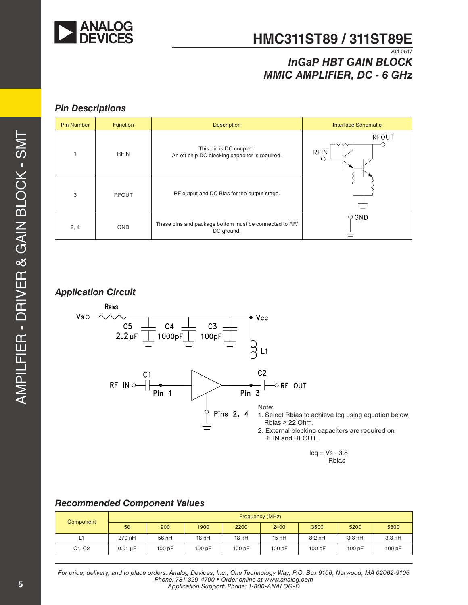

# **HMC311ST89 / 311ST89E**

## v04.0517 *InGaP HBT GAIN BLOCK MMIC AMPLIFIER, DC - 6 GHz*

#### *Pin Descriptions*

| <b>Pin Number</b> | <b>Function</b> | <b>Description</b>                                                        | <b>Interface Schematic</b> |
|-------------------|-----------------|---------------------------------------------------------------------------|----------------------------|
|                   | <b>RFIN</b>     | This pin is DC coupled.<br>An off chip DC blocking capacitor is required. | RFOUT<br>へへ<br><b>RFIN</b> |
| 3                 | <b>RFOUT</b>    | RF output and DC Bias for the output stage.                               |                            |
| 2, 4              | <b>GND</b>      | These pins and package bottom must be connected to RF/<br>DC ground.      | $\circ$ GND                |

#### *Application Circuit*



#### *Recommended Component Values*

| Component | Frequency (MHz) |        |        |       |        |          |                  |        |
|-----------|-----------------|--------|--------|-------|--------|----------|------------------|--------|
|           | 50              | 900    | 1900   | 2200  | 2400   | 3500     | 5200             | 5800   |
| L1        | 270 nH          | 56 nH  | 18 nH  | 18nH  | 15nH   | $8.2$ nH | $3.3 \text{ nH}$ | 3.3 nH |
| C1, C2    | $0.01$ uF       | 100 pF | 100 pF | 100pF | 100 pF | 100 pF   | 100pF            | 100 pF |